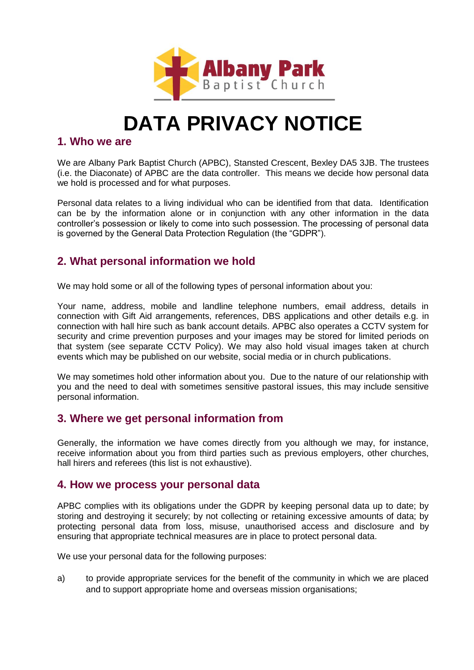

# **DATA PRIVACY NOTICE**

#### **1. Who we are**

We are Albany Park Baptist Church (APBC), Stansted Crescent, Bexley DA5 3JB. The trustees (i.e. the Diaconate) of APBC are the data controller. This means we decide how personal data we hold is processed and for what purposes.

Personal data relates to a living individual who can be identified from that data. Identification can be by the information alone or in conjunction with any other information in the data controller's possession or likely to come into such possession. The processing of personal data is governed by the General Data Protection Regulation (the "GDPR").

# **2. What personal information we hold**

We may hold some or all of the following types of personal information about you:

Your name, address, mobile and landline telephone numbers, email address, details in connection with Gift Aid arrangements, references, DBS applications and other details e.g. in connection with hall hire such as bank account details. APBC also operates a CCTV system for security and crime prevention purposes and your images may be stored for limited periods on that system (see separate CCTV Policy). We may also hold visual images taken at church events which may be published on our website, social media or in church publications.

We may sometimes hold other information about you. Due to the nature of our relationship with you and the need to deal with sometimes sensitive pastoral issues, this may include sensitive personal information.

## **3. Where we get personal information from**

Generally, the information we have comes directly from you although we may, for instance, receive information about you from third parties such as previous employers, other churches, hall hirers and referees (this list is not exhaustive).

## **4. How we process your personal data**

APBC complies with its obligations under the GDPR by keeping personal data up to date; by storing and destroying it securely; by not collecting or retaining excessive amounts of data; by protecting personal data from loss, misuse, unauthorised access and disclosure and by ensuring that appropriate technical measures are in place to protect personal data.

We use your personal data for the following purposes:

a) to provide appropriate services for the benefit of the community in which we are placed and to support appropriate home and overseas mission organisations;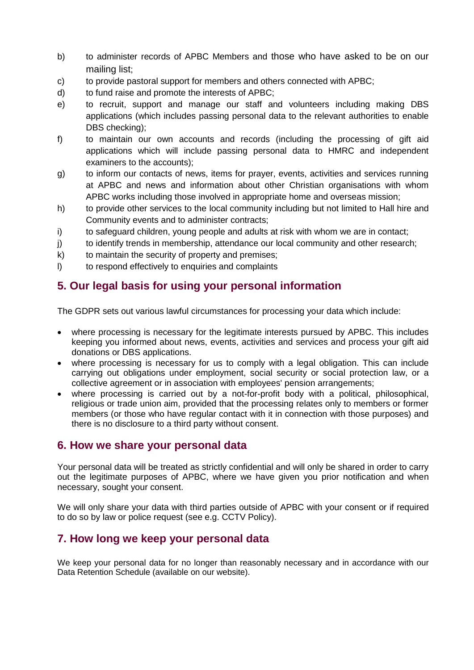- b) to administer records of APBC Members and those who have asked to be on our mailing list:
- c) to provide pastoral support for members and others connected with APBC;
- d) to fund raise and promote the interests of APBC;
- e) to recruit, support and manage our staff and volunteers including making DBS applications (which includes passing personal data to the relevant authorities to enable DBS checking);
- f) to maintain our own accounts and records (including the processing of gift aid applications which will include passing personal data to HMRC and independent examiners to the accounts);
- g) to inform our contacts of news, items for prayer, events, activities and services running at APBC and news and information about other Christian organisations with whom APBC works including those involved in appropriate home and overseas mission;
- h) to provide other services to the local community including but not limited to Hall hire and Community events and to administer contracts;
- i) to safeguard children, young people and adults at risk with whom we are in contact;
- j) to identify trends in membership, attendance our local community and other research;
- k) to maintain the security of property and premises;
- l) to respond effectively to enquiries and complaints

# **5. Our legal basis for using your personal information**

The GDPR sets out various lawful circumstances for processing your data which include:

- where processing is necessary for the legitimate interests pursued by APBC. This includes keeping you informed about news, events, activities and services and process your gift aid donations or DBS applications.
- where processing is necessary for us to comply with a legal obligation. This can include carrying out obligations under employment, social security or social protection law, or a collective agreement or in association with employees' pension arrangements;
- where processing is carried out by a not-for-profit body with a political, philosophical, religious or trade union aim, provided that the processing relates only to members or former members (or those who have regular contact with it in connection with those purposes) and there is no disclosure to a third party without consent.

## **6. How we share your personal data**

Your personal data will be treated as strictly confidential and will only be shared in order to carry out the legitimate purposes of APBC, where we have given you prior notification and when necessary, sought your consent.

We will only share your data with third parties outside of APBC with your consent or if required to do so by law or police request (see e.g. CCTV Policy).

## **7. How long we keep your personal data**

We keep your personal data for no longer than reasonably necessary and in accordance with our Data Retention Schedule (available on our website).